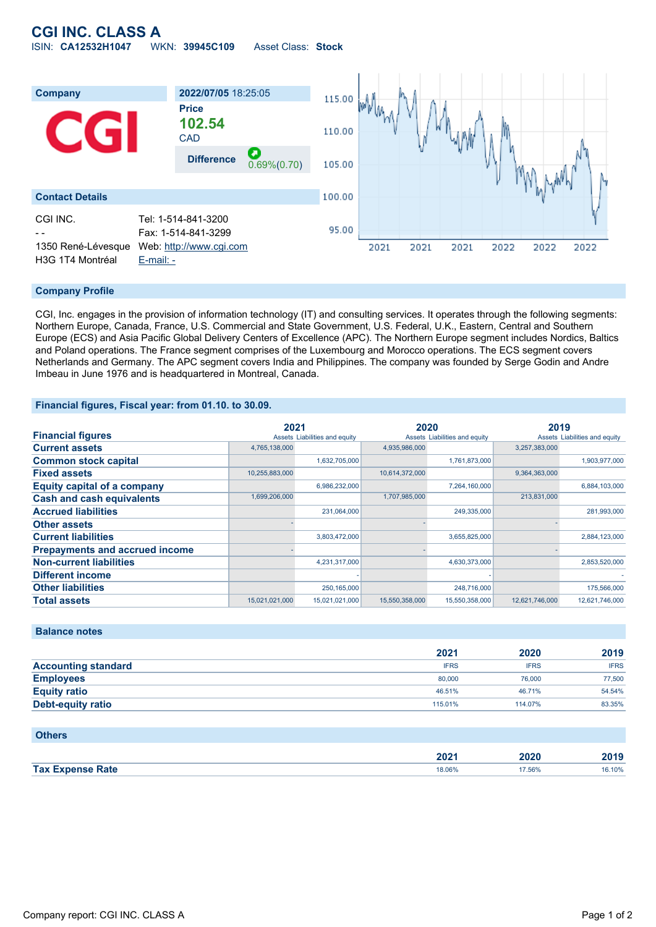# **CGI INC. CLASS A** ISIN: **CA12532H1047** WKN: **39945C109** Asset Class: **Stock**



### **Company Profile**

CGI, Inc. engages in the provision of information technology (IT) and consulting services. It operates through the following segments: Northern Europe, Canada, France, U.S. Commercial and State Government, U.S. Federal, U.K., Eastern, Central and Southern Europe (ECS) and Asia Pacific Global Delivery Centers of Excellence (APC). The Northern Europe segment includes Nordics, Baltics and Poland operations. The France segment comprises of the Luxembourg and Morocco operations. The ECS segment covers Netherlands and Germany. The APC segment covers India and Philippines. The company was founded by Serge Godin and Andre Imbeau in June 1976 and is headquartered in Montreal, Canada.

#### **Financial figures, Fiscal year: from 01.10. to 30.09.**

|                                       | 2021           |                               | 2020           |                               | 2019           |                               |
|---------------------------------------|----------------|-------------------------------|----------------|-------------------------------|----------------|-------------------------------|
| <b>Financial figures</b>              |                | Assets Liabilities and equity |                | Assets Liabilities and equity |                | Assets Liabilities and equity |
| <b>Current assets</b>                 | 4,765,138,000  |                               | 4,935,986,000  |                               | 3,257,383,000  |                               |
| <b>Common stock capital</b>           |                | 1,632,705,000                 |                | 1,761,873,000                 |                | 1,903,977,000                 |
| <b>Fixed assets</b>                   | 10,255,883,000 |                               | 10,614,372,000 |                               | 9,364,363,000  |                               |
| <b>Equity capital of a company</b>    |                | 6,986,232,000                 |                | 7,264,160,000                 |                | 6,884,103,000                 |
| <b>Cash and cash equivalents</b>      | 1,699,206,000  |                               | 1,707,985,000  |                               | 213,831,000    |                               |
| <b>Accrued liabilities</b>            |                | 231,064,000                   |                | 249,335,000                   |                | 281,993,000                   |
| <b>Other assets</b>                   |                |                               |                |                               |                |                               |
| <b>Current liabilities</b>            |                | 3,803,472,000                 |                | 3,655,825,000                 |                | 2,884,123,000                 |
| <b>Prepayments and accrued income</b> |                |                               |                |                               |                |                               |
| <b>Non-current liabilities</b>        |                | 4,231,317,000                 |                | 4,630,373,000                 |                | 2,853,520,000                 |
| <b>Different income</b>               |                |                               |                |                               |                |                               |
| <b>Other liabilities</b>              |                | 250,165,000                   |                | 248,716,000                   |                | 175,566,000                   |
| <b>Total assets</b>                   | 15,021,021,000 | 15,021,021,000                | 15,550,358,000 | 15,550,358,000                | 12,621,746,000 | 12,621,746,000                |

## **Balance notes**

|                            | 2021        | 2020        | 2019        |
|----------------------------|-------------|-------------|-------------|
| <b>Accounting standard</b> | <b>IFRS</b> | <b>IFRS</b> | <b>IFRS</b> |
| <b>Employees</b>           | 80,000      | 76,000      | 77.500      |
| <b>Equity ratio</b>        | 46.51%      | 46.71%      | 54.54%      |
| Debt-equity ratio          | 115.01%     | 114.07%     | 83.35%      |

#### **Others**

|                     | 2024   | つのつの        | 0040   |
|---------------------|--------|-------------|--------|
|                     | ZUZ '  | <b>LUZU</b> | 40 I J |
| <b>Expanse Rate</b> | 18.06% | 7.56%       | .10%   |
| Tax $E$             | .      | .           |        |